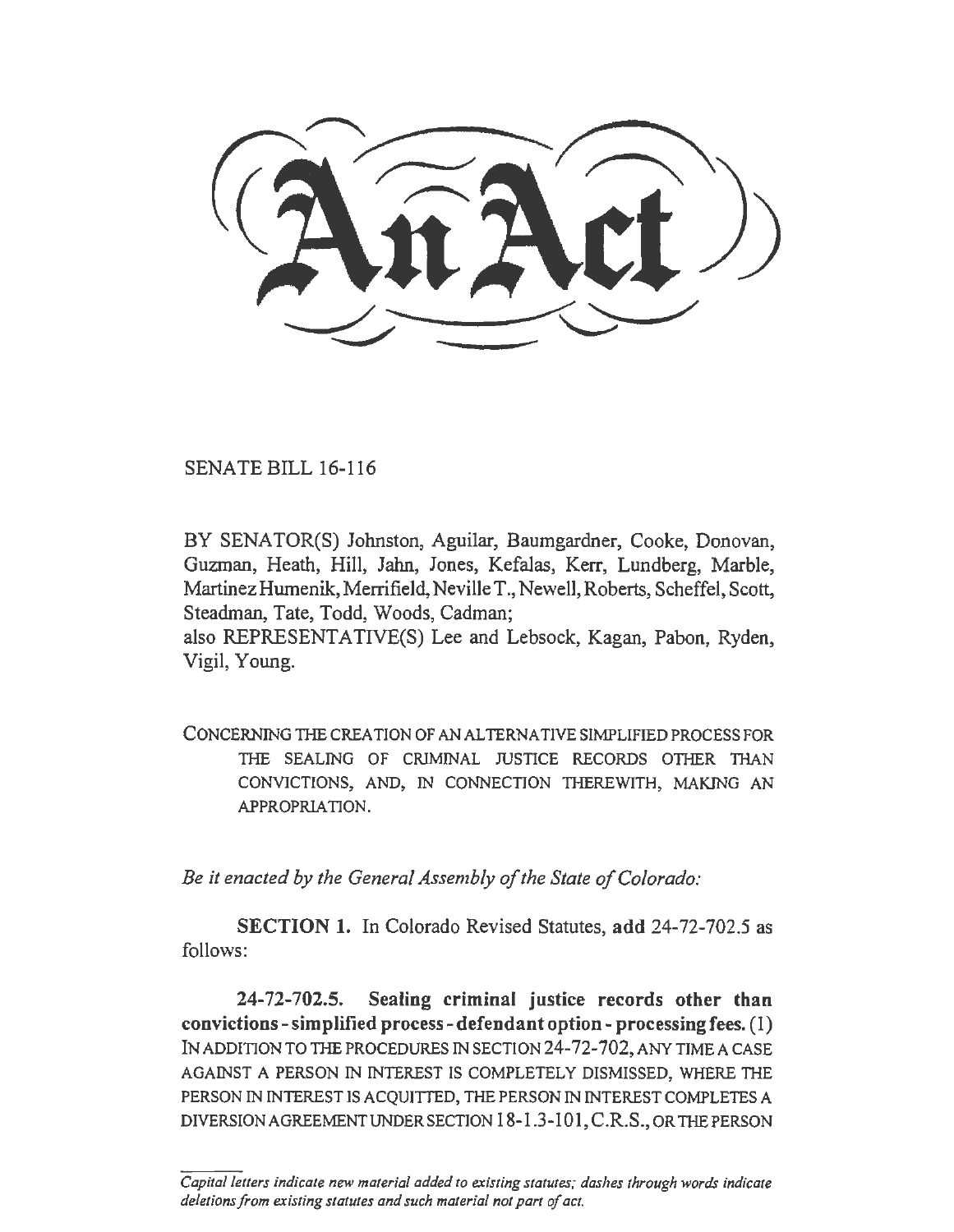SENATE BILL 16-116

BY SENATOR(S) Johnston, Aguilar, Baumgardner, Cooke, Donovan, Guzman, Heath, Hill, Jahn, Jones, Kefalas, Kerr, Lundberg, Marble, Martinez Humenik, Merrifield, Neville T., Newell, Roberts, Scheffel, Scott, Steadman, Tate, Todd, Woods, Cadman;

also REPRESENT ATIVE(S) Lee and Lebsock, Kagan, Pabon, Ryden, Vigil, Young.

CONCERNING THE CREATION OF AN ALTERNATIVE SIMPLIFIED PROCESS FOR THE SEALING OF CRIMINAL JUSTICE RECORDS OTHER THAN CONVICTIONS, AND, IN CONNECTION TIIEREWITH, MAKING AN APPROPR1A TION.

*Be it enacted by the General Assembly of the State of Colorado:* 

SECTION 1. In Colorado Revised Statutes, add 24-72-702.5 as follows:

24-72-702.5. Sealing criminal justice records other than convictions-simplified process-defendantoption-processingfees. (1) IN ADDITION TO THE PROCEDURES IN SECTION 24-72-702, ANY TIME A CASE AGAINST A PERSON IN INTEREST IS COMPLETELY DISMISSED, WHERE THE PERSON IN INTEREST IS ACQUJITED, THE PERSON IN INTEREST COMPLETES A DIVERSION AGREEMENT UNDER SECTION 18-1.3-101, C.R.S., OR THE PERSON

*Capital letters indicate new material added to existing statutes; dashes through words indicate deletions from existing statures and such material not part of act.*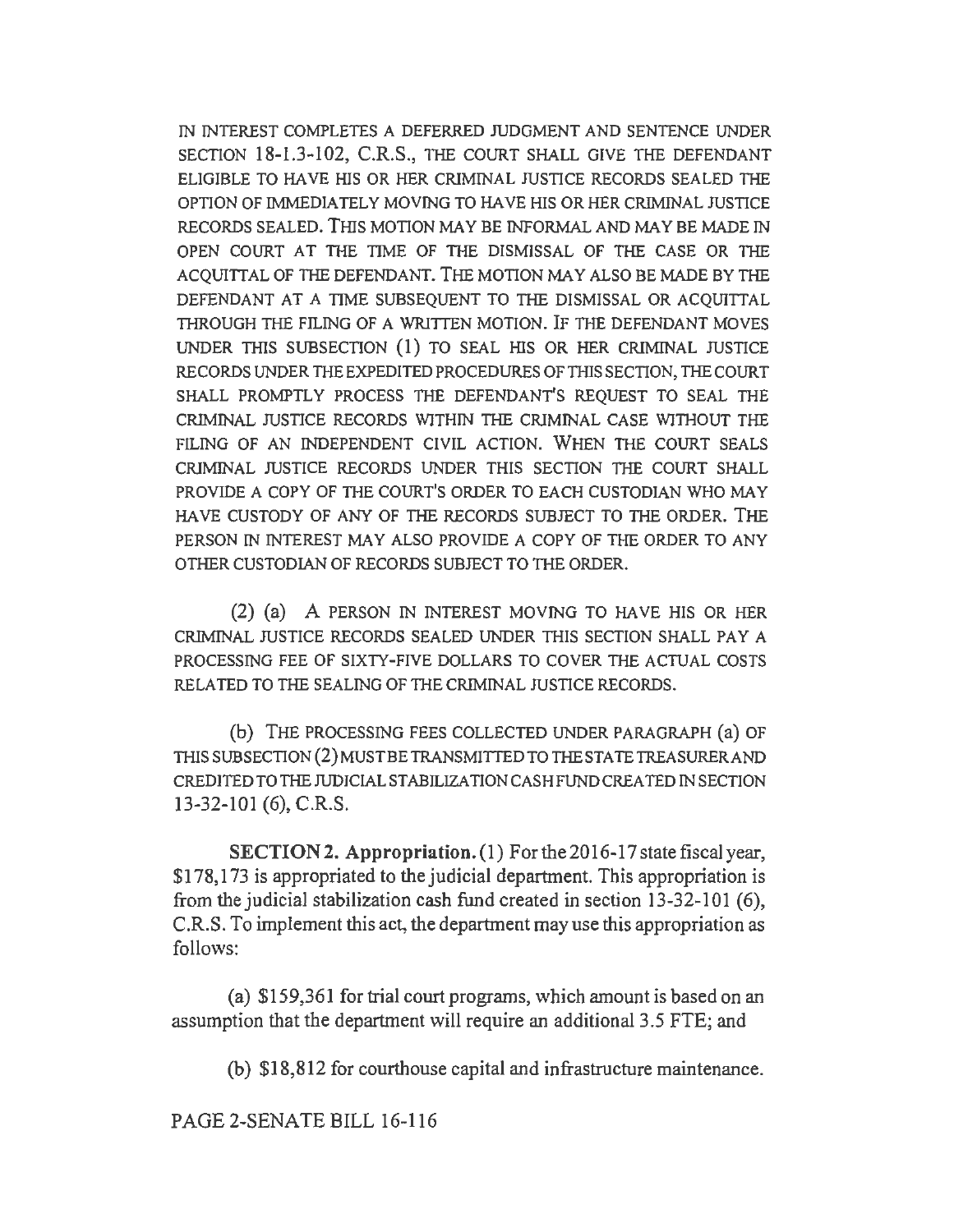IN INTEREST COMPLETES A DEFERRED JUDGMENT AND SENTENCE UNDER SECTION 18-1.3-102, C.R.S., THE COURT SHALL GIVE THE DEFENDANT ELIGIBLE TO HA VE HIS OR HER CRIMINAL JUSTICE RECORDS SEALED THE OPTION OF IMMEDIATELY MOVING TO HAVE HIS OR HER CRIMINAL JUSTICE RECORDS SEALED. THIS MOTION MAY BE INFORMAL AND MAY BE MADE IN OPEN COURT AT THE TIME OF THE DISMISSAL OF THE CASE OR THE ACQUIITAL OF THE DEFENDANT. THE MOTION MAY ALSO BE MADE BY THE DEFENDANT AT A TIME SUBSEQUENT TO THE DISMISSAL OR ACQUITTAL THROUGH THE FILING OF A WRITTEN MOTION. IF THE DEFENDANT MOVES UNDER THIS SUBSECTION (I) TO SEAL HIS OR HER CRIMINAL JUSTICE RECORDS UNDER THE EXPEDITED PROCEDURES OF THIS SECTION, THE COURT SHALL PROMPTLY PROCESS THE DEFENDANT'S REQUEST TO SEAL THE CRIMINAL JUSTICE RECORDS WlTHIN THE CRIMINAL CASE WITHOUT THE FILING OF AN INDEPENDENT CIVIL ACTION. WHEN THE COURT SEALS CRIMINAL JUSTICE RECORDS UNDER THIS SECTION THE COURT SHALL PROVIDE A COPY OF THE COURT'S ORDER TO EACH CUSTODIAN WHO MAY HA VE CUSTODY OF ANY OF THE RECORDS SUBJECT TO THE ORDER. THE PERSON IN INTEREST MAY ALSO PROVIDE A COPY OF THE ORDER TO ANY OTHER CUSTODIAN OF RECORDS SUBJECT TO THE ORDER.

(2) (a) A PERSON IN INTEREST MOVING TO HA VE HIS OR HER CRIMINAL JUSTICE RECORDS SEALED UNDER THIS SECTION SHALL PAY A PROCESSING FEE OF SIXTY-FIVE DOLLARS TO COVER THE ACTUAL COSTS RELATED TO THE SEALING OF THE CRIMINAL JUSTICE RECORDS.

(b) THE PROCESSING FEES COLLECTED UNDER PARAGRAPH (a) OF THIS SUBSECTION (2) MUST BE TRANSMITTED TO THE STATE TREASURER AND CREDITED TO THE JUDICIAL STABILIZATION CASH FUND CREA TED IN SECTION 13-32-101 (6), C.R.S.

SECTION 2. Appropriation. (1) For the 2016-17 state fiscal year, \$178, 173 is appropriated to the judicial department. This appropriation is from the judicial stabilization cash fund created in section  $13-32-101$  (6), C.R.S. To implement this act, the department may use this appropriation *as*  follows:

(a) \$159,361 for trial court programs, which amount is based on an assumption that the department will require an additional 3 .5 FTE; and

(b) \$18,812 for courthouse capital and infrastructure maintenance.

PAGE 2-SENATE BILL 16-116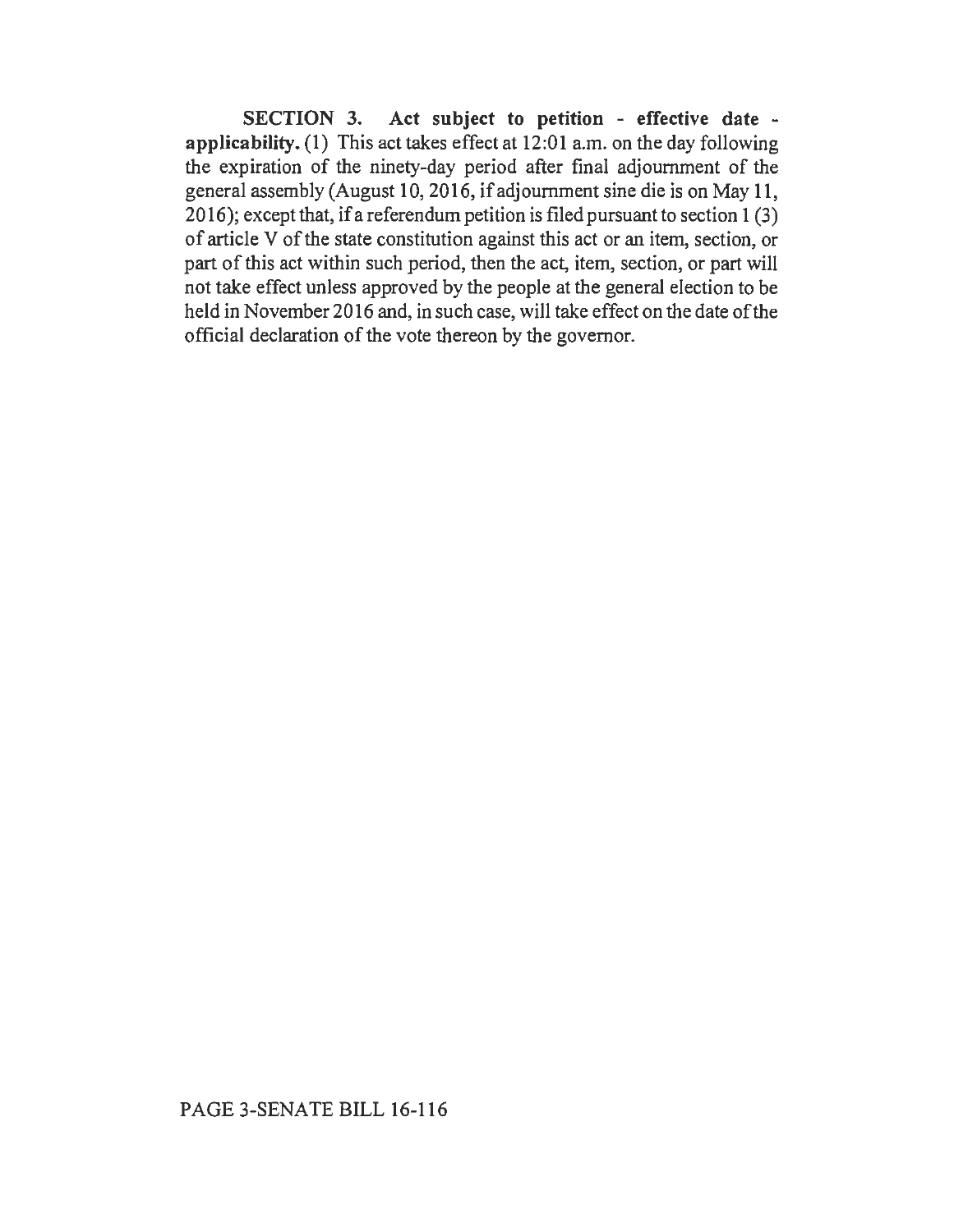SECTION 3. Act subject to petition - effective date applicability. (1) This act takes effect at 12:01 a.m. on the day following the expiration of the ninety-day period after final adjournment of the general assembly (August 10, 2016, if adjournment sine die is on May 11, 2016); except that, if a referendum petition is filed pursuant to section 1 (3) of article V of the state constitution against this act or an item, section, or part of this act within such period, then the act, item, section, or part will not take effect unless approved by the people at the general election to be held in November 2016 and, in such case, will take effect on the date of the official declaration of the vote thereon by the governor.